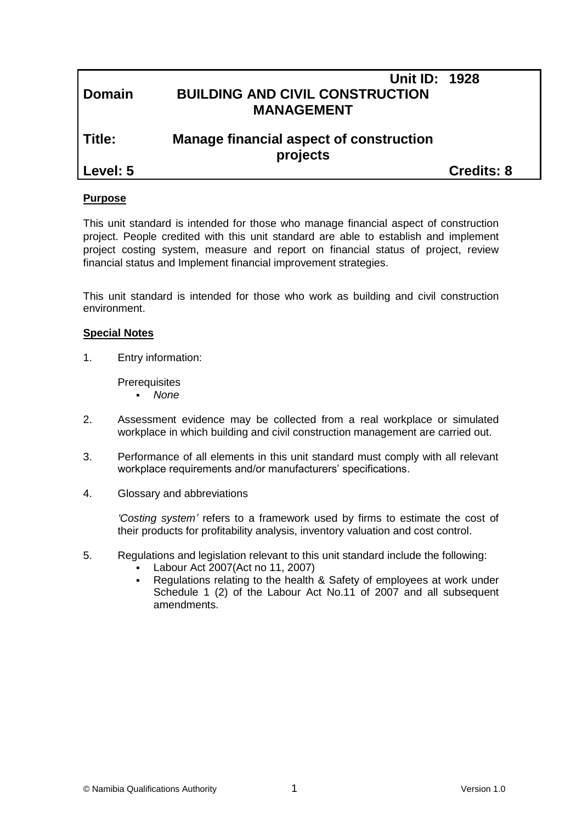| Level: 5      |                                                                                     | <b>Credits: 8</b> |
|---------------|-------------------------------------------------------------------------------------|-------------------|
| Title:        | Manage financial aspect of construction<br>projects                                 |                   |
| <b>Domain</b> | <b>Unit ID: 1928</b><br><b>BUILDING AND CIVIL CONSTRUCTION</b><br><b>MANAGEMENT</b> |                   |

## **Purpose**

This unit standard is intended for those who manage financial aspect of construction project. People credited with this unit standard are able to establish and implement project costing system, measure and report on financial status of project, review financial status and Implement financial improvement strategies.

This unit standard is intended for those who work as building and civil construction environment.

#### **Special Notes**

1. Entry information:

**Prerequisites** 

- *None*
- 2. Assessment evidence may be collected from a real workplace or simulated workplace in which building and civil construction management are carried out.
- 3. Performance of all elements in this unit standard must comply with all relevant workplace requirements and/or manufacturers' specifications.
- 4. Glossary and abbreviations

*'Costing system'* refers to a framework used by firms to estimate the cost of their products for profitability analysis, inventory valuation and cost control.

- 5. Regulations and legislation relevant to this unit standard include the following:
	- Labour Act 2007(Act no 11, 2007)
	- Regulations relating to the health & Safety of employees at work under Schedule 1 (2) of the Labour Act No.11 of 2007 and all subsequent amendments.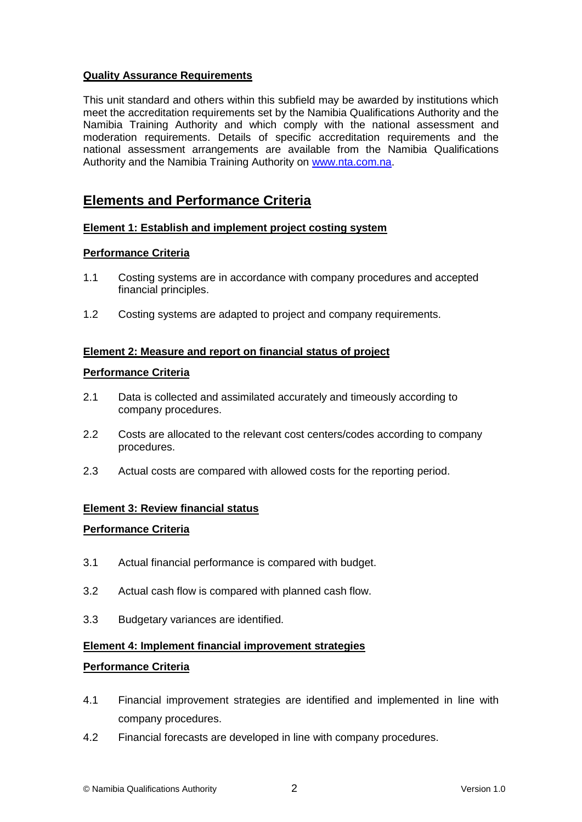# **Quality Assurance Requirements**

This unit standard and others within this subfield may be awarded by institutions which meet the accreditation requirements set by the Namibia Qualifications Authority and the Namibia Training Authority and which comply with the national assessment and moderation requirements. Details of specific accreditation requirements and the national assessment arrangements are available from the Namibia Qualifications Authority and the Namibia Training Authority on [www.nta.com.na.](http://www.nta.com.na/)

# **Elements and Performance Criteria**

#### **Element 1: Establish and implement project costing system**

#### **Performance Criteria**

- 1.1 Costing systems are in accordance with company procedures and accepted financial principles.
- 1.2 Costing systems are adapted to project and company requirements.

## **Element 2: Measure and report on financial status of project**

#### **Performance Criteria**

- 2.1 Data is collected and assimilated accurately and timeously according to company procedures.
- 2.2 Costs are allocated to the relevant cost centers/codes according to company procedures.
- 2.3 Actual costs are compared with allowed costs for the reporting period.

# **Element 3: Review financial status**

#### **Performance Criteria**

- 3.1 Actual financial performance is compared with budget.
- 3.2 Actual cash flow is compared with planned cash flow.
- 3.3 Budgetary variances are identified.

#### **Element 4: Implement financial improvement strategies**

#### **Performance Criteria**

- 4.1 Financial improvement strategies are identified and implemented in line with company procedures.
- 4.2 Financial forecasts are developed in line with company procedures.